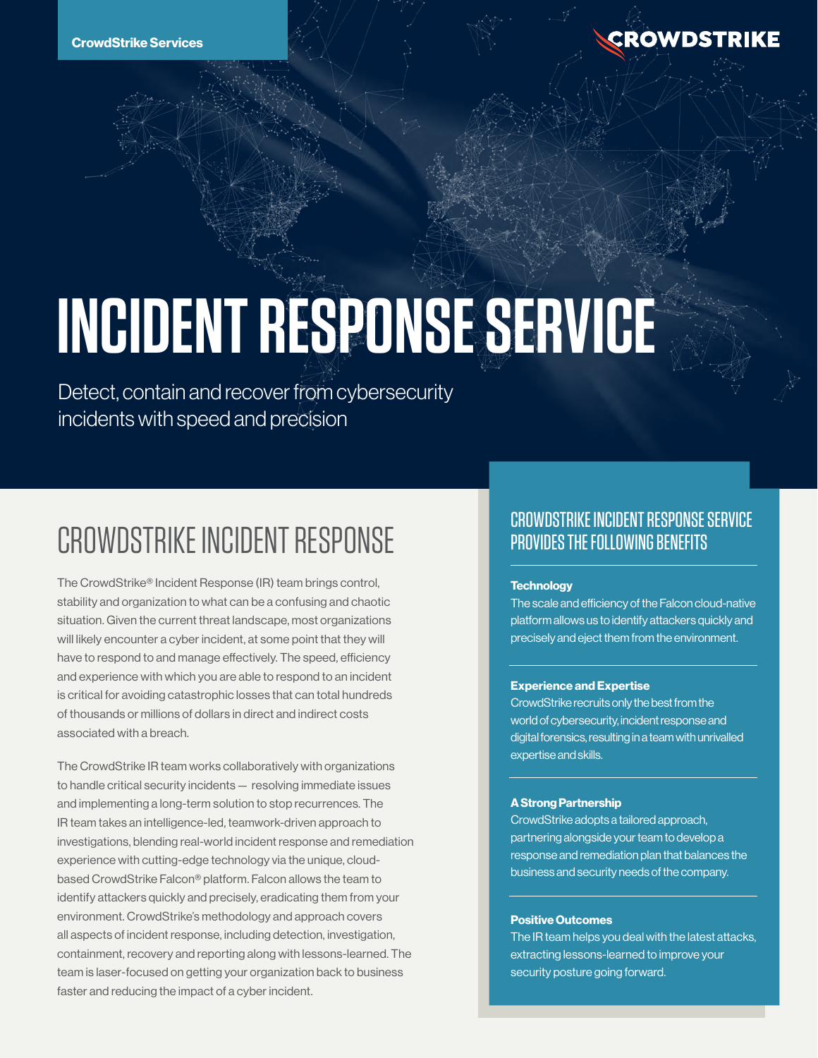

# **INCIDENT RESPONSE SERVICE**

Detect, contain and recover from cybersecurity incidents with speed and precision

# CROWDSTRIKE INCIDENT RESPONSE

The CrowdStrike® Incident Response (IR) team brings control, stability and organization to what can be a confusing and chaotic situation. Given the current threat landscape, most organizations will likely encounter a cyber incident, at some point that they will have to respond to and manage effectively. The speed, efficiency and experience with which you are able to respond to an incident is critical for avoiding catastrophic losses that can total hundreds of thousands or millions of dollars in direct and indirect costs associated with a breach.

The CrowdStrike IR team works collaboratively with organizations to handle critical security incidents — resolving immediate issues and implementing a long-term solution to stop recurrences. The IR team takes an intelligence-led, teamwork-driven approach to investigations, blending real-world incident response and remediation experience with cutting-edge technology via the unique, cloudbased CrowdStrike Falcon® platform. Falcon allows the team to identify attackers quickly and precisely, eradicating them from your environment. CrowdStrike's methodology and approach covers all aspects of incident response, including detection, investigation, containment, recovery and reporting along with lessons-learned. The team is laser-focused on getting your organization back to business faster and reducing the impact of a cyber incident.

# CROWDSTRIKE INCIDENT RESPONSE SERVICE PROVIDES THE FOLLOWING BENEFITS

## **Technology**

The scale and efficiency of the Falcon cloud-native platform allows us to identify attackers quickly and precisely and eject them from the environment.

# **Experience and Expertise**

CrowdStrike recruits only the best from the world of cybersecurity, incident response and digital forensics, resulting in a team with unrivalled expertise and skills.

# **A Strong Partnership**

CrowdStrike adopts a tailored approach, partnering alongside your team to develop a response and remediation plan that balances the business and security needs of the company.

# **Positive Outcomes**

The IR team helps you deal with the latest attacks, extracting lessons-learned to improve your security posture going forward.